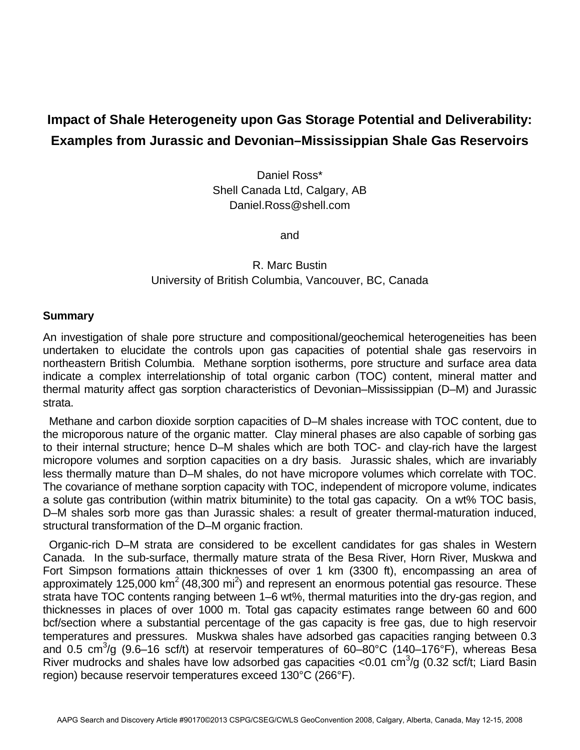## **Impact of Shale Heterogeneity upon Gas Storage Potential and Deliverability: Examples from Jurassic and Devonian–Mississippian Shale Gas Reservoirs**

Daniel Ross\* Shell Canada Ltd, Calgary, AB Daniel.Ross@shell.com

and

## R. Marc Bustin University of British Columbia, Vancouver, BC, Canada

## **Summary**

An investigation of shale pore structure and compositional/geochemical heterogeneities has been undertaken to elucidate the controls upon gas capacities of potential shale gas reservoirs in northeastern British Columbia. Methane sorption isotherms, pore structure and surface area data indicate a complex interrelationship of total organic carbon (TOC) content, mineral matter and thermal maturity affect gas sorption characteristics of Devonian–Mississippian (D–M) and Jurassic strata.

 Methane and carbon dioxide sorption capacities of D–M shales increase with TOC content, due to the microporous nature of the organic matter. Clay mineral phases are also capable of sorbing gas to their internal structure; hence D–M shales which are both TOC- and clay-rich have the largest micropore volumes and sorption capacities on a dry basis. Jurassic shales, which are invariably less thermally mature than D–M shales, do not have micropore volumes which correlate with TOC. The covariance of methane sorption capacity with TOC, independent of micropore volume, indicates a solute gas contribution (within matrix bituminite) to the total gas capacity. On a wt% TOC basis, D–M shales sorb more gas than Jurassic shales: a result of greater thermal-maturation induced, structural transformation of the D–M organic fraction.

 Organic-rich D–M strata are considered to be excellent candidates for gas shales in Western Canada. In the sub-surface, thermally mature strata of the Besa River, Horn River, Muskwa and Fort Simpson formations attain thicknesses of over 1 km (3300 ft), encompassing an area of approximately 125,000 km<sup>2</sup> (48,300 mi<sup>2</sup>) and represent an enormous potential gas resource. These strata have TOC contents ranging between 1–6 wt%, thermal maturities into the dry-gas region, and thicknesses in places of over 1000 m. Total gas capacity estimates range between 60 and 600 bcf/section where a substantial percentage of the gas capacity is free gas, due to high reservoir temperatures and pressures. Muskwa shales have adsorbed gas capacities ranging between 0.3 and 0.5 cm<sup>3</sup>/g (9.6–16 scf/t) at reservoir temperatures of 60–80°C (140–176°F), whereas Besa River mudrocks and shales have low adsorbed gas capacities < 0.01 cm<sup>3</sup>/g (0.32 scf/t; Liard Basin region) because reservoir temperatures exceed 130°C (266°F).